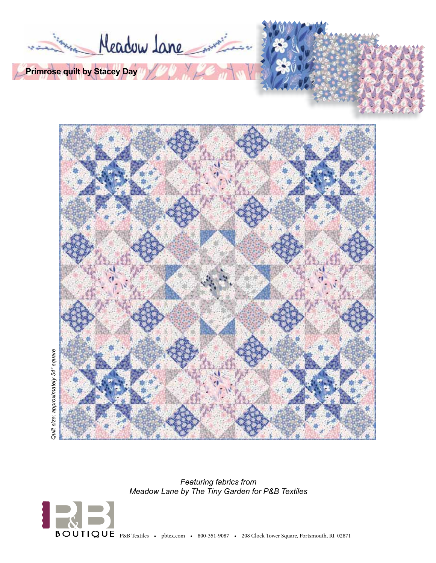



Quilt size: approximately 54" square *Quilt size: approximately 54" square*

> *Featuring fabrics from Meadow Lane by The Tiny Garden for P&B Textiles*



BOUTIQUE P&B Textiles • pbtex.com • 800-351-9087 • 208 Clock Tower Square, Portsmouth, RI 02871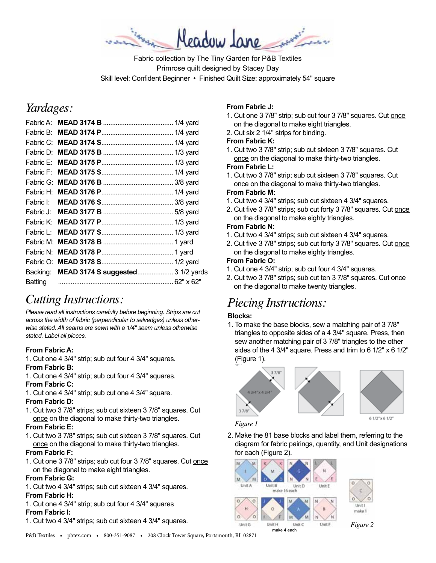Meadow Jane

Fabric collection by The Tiny Garden for P&B Textiles Primrose quilt designed by Stacey Day Skill level: Confident Beginner • Finished Quilt Size: approximately 54" square

# *Yardages:*

| Fabric H: |                                            |
|-----------|--------------------------------------------|
|           |                                            |
|           |                                            |
| Fabric K: |                                            |
| Fabric L: |                                            |
| Fabric M: |                                            |
| Fabric N: |                                            |
|           |                                            |
|           | Backing: MEAD 3174 S suggested 3 1/2 yards |
| Batting   |                                            |
|           |                                            |

# *Cutting Instructions:*

*Please read all instructions carefully before beginning. Strips are cut across the width of fabric (perpendicular to selvedges) unless otherwise stated. All seams are sewn with a 1/4" seam unless otherwise stated. Label all pieces.* 

# **From Fabric A:**

1. Cut one 4 3/4" strip; sub cut four 4 3/4" squares. **From Fabric B:**

# 1. Cut one 4 3/4" strip; sub cut four 4 3/4" squares.

**From Fabric C:**

1. Cut one 4 3/4" strip; sub cut one 4 3/4" square.

#### **From Fabric D:**

1. Cut two 3 7/8" strips; sub cut sixteen 3 7/8" squares. Cut once on the diagonal to make thirty-two triangles.

# **From Fabric E:**

1. Cut two 3 7/8" strips; sub cut sixteen 3 7/8" squares. Cut once on the diagonal to make thirty-two triangles.

# **From Fabric F:**

1. Cut one 3 7/8" strips; sub cut four 3 7/8" squares. Cut once on the diagonal to make eight triangles.

# **From Fabric G:**

- 1. Cut two 4 3/4" strips; sub cut sixteen 4 3/4" squares. **From Fabric H:**
- 1. Cut one 4 3/4" strip; sub cut four 4 3/4" squares **From Fabric I:**

#### 1. Cut two 4 3/4" strips; sub cut sixteen 4 3/4" squares.

# **From Fabric J:**

- 1. Cut one 3 7/8" strip; sub cut four 3 7/8" squares. Cut once on the diagonal to make eight triangles.
- 2. Cut six 2 1/4" strips for binding.

#### **From Fabric K:**

1. Cut two 3 7/8" strip; sub cut sixteen 3 7/8" squares. Cut once on the diagonal to make thirty-two triangles.

#### **From Fabric L:**

1. Cut two 3 7/8" strip; sub cut sixteen 3 7/8" squares. Cut once on the diagonal to make thirty-two triangles.

#### **From Fabric M:**

- 1. Cut two 4 3/4" strips; sub cut sixteen 4 3/4" squares.
- 2. Cut five 3 7/8" strips; sub cut forty 3 7/8" squares. Cut once on the diagonal to make eighty triangles.

# **From Fabric N:**

- 1. Cut two 4 3/4" strips; sub cut sixteen 4 3/4" squares.
- 2. Cut five 3 7/8" strips; sub cut forty 3 7/8" squares. Cut once on the diagonal to make eighty triangles.

#### **From Fabric O:**

- 1. Cut one 4 3/4" strip; sub cut four 4 3/4" squares.
- 2. Cut two 3 7/8" strips; sub cut ten 3 7/8" squares. Cut once on the diagonal to make twenty triangles.

# *Piecing Instructions:*

# **Blocks:**

1. To make the base blocks, sew a matching pair of 3 7/8" triangles to opposite sides of a 4 3/4" square. Press, then sew another matching pair of 3 7/8" triangles to the other sides of the 4 3/4" square. Press and trim to 6 1/2" x 6 1/2" (Figure 1).



*Figure 1*

2. Make the 81 base blocks and label them, referring to the diagram for fabric pairings, quantity, and Unit designations for each (Figure 2).

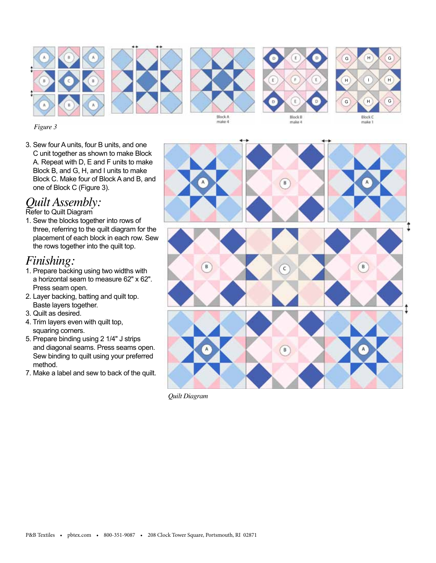









*Figure 3*

3. Sew four A units, four B units, and one C unit together as shown to make Block A. Repeat with D, E and F units to make Block B, and G, H, and I units to make Block C. Make four of Block A and B, and one of Block C (Figure 3).

# *Quilt Assembly:*

Refer to Quilt Diagram

1. Sew the blocks together into rows of three, referring to the quilt diagram for the placement of each block in each row. Sew the rows together into the quilt top.

# *Finishing:*

- 1. Prepare backing using two widths with a horizontal seam to measure 62" x 62". Press seam open.
- 2. Layer backing, batting and quilt top. Baste layers together.
- 3. Quilt as desired.
- 4. Trim layers even with quilt top, squaring corners.
- 5. Prepare binding using 2 1/4" J strips and diagonal seams. Press seams open. Sew binding to quilt using your preferred method.
- 7. Make a label and sew to back of the quilt.



*Quilt Diagram*